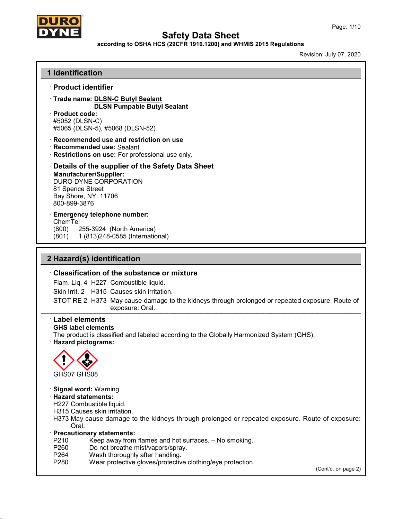

#### according to OSHA HCS (29CFR 1910.1200) and WHMIS 2015 Regulations

|                                      | <b>1 Identification</b>      |                                                                                                                    |                     |
|--------------------------------------|------------------------------|--------------------------------------------------------------------------------------------------------------------|---------------------|
|                                      | $\cdot$ Product identifier   |                                                                                                                    |                     |
|                                      |                              | Trade name: DLSN-C Butyl Sealant                                                                                   |                     |
| · Product code:                      |                              | <b>DLSN Pumpable Butyl Sealant</b>                                                                                 |                     |
| #5052 (DLSN-C)                       |                              |                                                                                                                    |                     |
|                                      |                              | #5065 (DLSN-5), #5068 (DLSN-52)                                                                                    |                     |
|                                      |                              | · Recommended use and restriction on use                                                                           |                     |
|                                      | · Recommended use: Sealant   |                                                                                                                    |                     |
|                                      |                              | · Restrictions on use: For professional use only.                                                                  |                     |
|                                      |                              | Details of the supplier of the Safety Data Sheet                                                                   |                     |
|                                      | · Manufacturer/Supplier:     | DURO DYNE CORPORATION                                                                                              |                     |
| 81 Spence Street                     |                              |                                                                                                                    |                     |
|                                      | Bay Shore, NY 11706          |                                                                                                                    |                     |
| 800-899-3876                         |                              |                                                                                                                    |                     |
|                                      |                              | <b>Emergency telephone number:</b>                                                                                 |                     |
| ChemTel<br>(800)                     |                              | 255-3924 (North America)                                                                                           |                     |
| (801)                                |                              | 1 (813) 248-0585 (International)                                                                                   |                     |
|                                      |                              |                                                                                                                    |                     |
|                                      | 2 Hazard(s) identification   |                                                                                                                    |                     |
|                                      |                              | <b>Classification of the substance or mixture</b>                                                                  |                     |
|                                      |                              | Flam. Liq. 4 H227 Combustible liquid.                                                                              |                     |
|                                      |                              | Skin Irrit, 2 H315 Causes skin irritation.                                                                         |                     |
|                                      |                              | STOT RE 2 H373 May cause damage to the kidneys through prolonged or repeated exposure. Route of<br>exposure: Oral. |                     |
| <b>Label elements</b>                |                              |                                                                                                                    |                     |
|                                      | <b>GHS label elements</b>    |                                                                                                                    |                     |
|                                      |                              | The product is classified and labeled according to the Globally Harmonized System (GHS).                           |                     |
|                                      |                              |                                                                                                                    |                     |
|                                      |                              |                                                                                                                    |                     |
|                                      |                              |                                                                                                                    |                     |
|                                      |                              |                                                                                                                    |                     |
| GHS07 GHS08                          |                              |                                                                                                                    |                     |
|                                      |                              |                                                                                                                    |                     |
| <b>Hazard statements:</b>            | <b>Signal word: Warning</b>  |                                                                                                                    |                     |
| · Hazard pictograms:                 | H227 Combustible liquid.     |                                                                                                                    |                     |
|                                      | H315 Causes skin irritation. |                                                                                                                    |                     |
|                                      |                              | H373 May cause damage to the kidneys through prolonged or repeated exposure. Route of exposure:                    |                     |
| Oral.<br>· Precautionary statements: |                              |                                                                                                                    |                     |
| P210                                 |                              | Keep away from flames and hot surfaces. - No smoking.                                                              |                     |
| P260                                 |                              | Do not breathe mist/vapors/spray.                                                                                  |                     |
| P264<br>P280                         |                              | Wash thoroughly after handling.<br>Wear protective gloves/protective clothing/eye protection.                      | (Cont'd. on page 2) |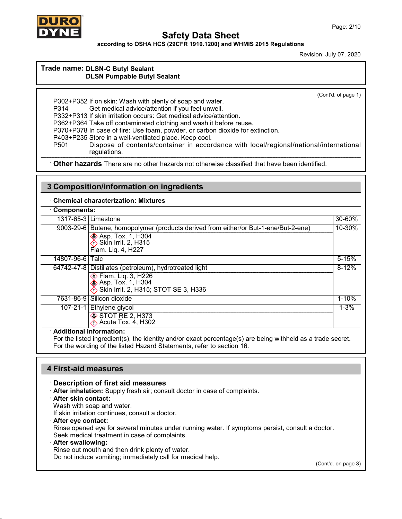

according to OSHA HCS (29CFR 1910.1200) and WHMIS 2015 Regulations

Revision: July 07, 2020

### Trade name: DLSN-C Butyl Sealant DLSN Pumpable Butyl Sealant

(Cont'd. of page 1)

P302+P352 If on skin: Wash with plenty of soap and water. P314 Get medical advice/attention if you feel unwell. P332+P313 If skin irritation occurs: Get medical advice/attention. P362+P364 Take off contaminated clothing and wash it before reuse. P370+P378 In case of fire: Use foam, powder, or carbon dioxide for extinction. P403+P235 Store in a well-ventilated place. Keep cool. P501 Dispose of contents/container in accordance with local/regional/national/international regulations.

· Other hazards There are no other hazards not otherwise classified that have been identified.

### 3 Composition/information on ingredients

· Chemical characterization: Mixtures

| Components:     |                                                                                                                                                                  |           |
|-----------------|------------------------------------------------------------------------------------------------------------------------------------------------------------------|-----------|
|                 | 1317-65-3 Limestone                                                                                                                                              | 30-60%    |
|                 | 9003-29-6 Butene, homopolymer (products derived from either/or But-1-ene/But-2-ene)<br><b>♦ Asp. Tox. 1, H304</b><br>♦ Skin Irrit. 2, H315<br>Flam. Lig. 4, H227 | 10-30%    |
| 14807-96-6 Talc |                                                                                                                                                                  | $5 - 15%$ |
|                 | 64742-47-8   Distillates (petroleum), hydrotreated light<br>◈ Flam. Liq. 3, H226<br>◈ Asp. Tox. 1, H304<br><b>∕∱ Skin Irrit. 2, H315; STOT SE 3, H336</b>        | $8 - 12%$ |
|                 | 7631-86-9 Silicon dioxide                                                                                                                                        | $1 - 10%$ |
|                 | 107-21-1 Ethylene glycol<br>$\diamond$ STOT RE 2, H373<br>$\rightarrow$ Acute Tox. 4, H302<br>.                                                                  | $1 - 3%$  |

#### · Additional information:

For the listed ingredient(s), the identity and/or exact percentage(s) are being withheld as a trade secret. For the wording of the listed Hazard Statements, refer to section 16.

### 4 First-aid measures

### · Description of first aid measures

- · After inhalation: Supply fresh air; consult doctor in case of complaints.
- · After skin contact:
- Wash with soap and water.

If skin irritation continues, consult a doctor.

#### · After eye contact:

Rinse opened eye for several minutes under running water. If symptoms persist, consult a doctor.

Seek medical treatment in case of complaints.

### · After swallowing:

Rinse out mouth and then drink plenty of water.

Do not induce vomiting; immediately call for medical help.

(Cont'd. on page 3)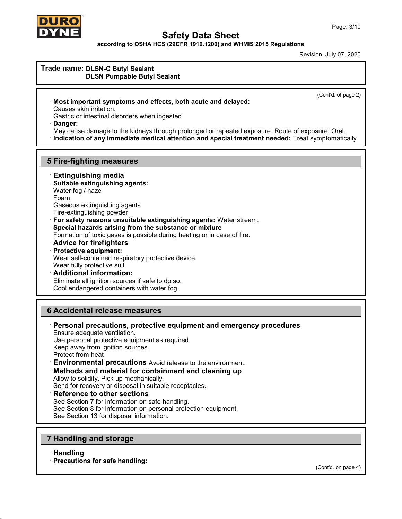

according to OSHA HCS (29CFR 1910.1200) and WHMIS 2015 Regulations

Revision: July 07, 2020

# Trade name: DLSN-C Butyl Sealant

DLSN Pumpable Butyl Sealant

(Cont'd. of page 2)

· Most important symptoms and effects, both acute and delayed: Causes skin irritation.

Gastric or intestinal disorders when ingested.

Danger:

May cause damage to the kidneys through prolonged or repeated exposure. Route of exposure: Oral.

· Indication of any immediate medical attention and special treatment needed: Treat symptomatically.

### 5 Fire-fighting measures

· Extinguishing media

· Suitable extinguishing agents: Water fog / haze Foam Gaseous extinguishing agents

Fire-extinguishing powder

· For safety reasons unsuitable extinguishing agents: Water stream.

· Special hazards arising from the substance or mixture

Formation of toxic gases is possible during heating or in case of fire.

- · Advice for firefighters
- · Protective equipment: Wear self-contained respiratory protective device. Wear fully protective suit.
- · Additional information: Eliminate all ignition sources if safe to do so.

Cool endangered containers with water fog.

### 6 Accidental release measures

· Personal precautions, protective equipment and emergency procedures Ensure adequate ventilation. Use personal protective equipment as required.

Keep away from ignition sources.

Protect from heat

· Environmental precautions Avoid release to the environment.

### Methods and material for containment and cleaning up

Allow to solidify. Pick up mechanically.

Send for recovery or disposal in suitable receptacles.

**Reference to other sections** 

See Section 7 for information on safe handling. See Section 8 for information on personal protection equipment. See Section 13 for disposal information.

### 7 Handling and storage

· Handling

· Precautions for safe handling:

(Cont'd. on page 4)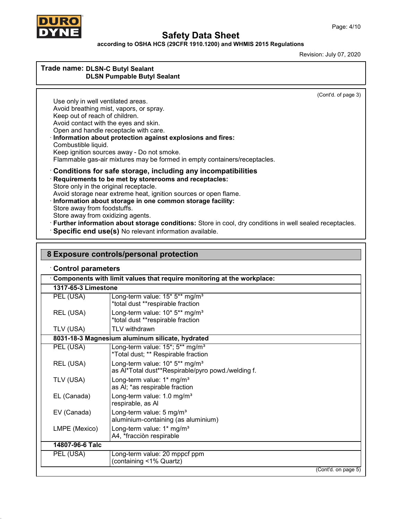

according to OSHA HCS (29CFR 1910.1200) and WHMIS 2015 Regulations

Revision: July 07, 2020

### Trade name: DLSN-C Butyl Sealant DLSN Pumpable Butyl Sealant

(Cont'd. of page 3)

Use only in well ventilated areas. Avoid breathing mist, vapors, or spray. Keep out of reach of children. Avoid contact with the eyes and skin. Open and handle receptacle with care. · Information about protection against explosions and fires: Combustible liquid. Keep ignition sources away - Do not smoke. Flammable gas-air mixtures may be formed in empty containers/receptacles. · Conditions for safe storage, including any incompatibilities · Requirements to be met by storerooms and receptacles: Store only in the original receptacle. Avoid storage near extreme heat, ignition sources or open flame. · Information about storage in one common storage facility: Store away from foodstuffs. Store away from oxidizing agents. · Further information about storage conditions: Store in cool, dry conditions in well sealed receptacles.

· Specific end use(s) No relevant information available.

| 8 Exposure controls/personal protection |                                                                                                  |  |
|-----------------------------------------|--------------------------------------------------------------------------------------------------|--|
| <b>Control parameters</b>               |                                                                                                  |  |
|                                         | Components with limit values that require monitoring at the workplace:                           |  |
| 1317-65-3 Limestone                     |                                                                                                  |  |
| PEL (USA)                               | Long-term value: 15* 5** mg/m <sup>3</sup><br>*total dust **respirable fraction                  |  |
| REL (USA)                               | Long-term value: 10* 5** mg/m <sup>3</sup><br>*total dust **respirable fraction                  |  |
| TLV (USA)                               | TLV withdrawn                                                                                    |  |
|                                         | 8031-18-3 Magnesium aluminum silicate, hydrated                                                  |  |
| PEL (USA)                               | Long-term value: 15*; 5** mg/m <sup>3</sup><br>*Total dust; ** Respirable fraction               |  |
| REL (USA)                               | Long-term value: 10* 5** mg/m <sup>3</sup><br>as Al*Total dust**Respirable/pyro powd./welding f. |  |
| TLV (USA)                               | Long-term value: 1* mg/m <sup>3</sup><br>as AI; *as respirable fraction                          |  |
| EL (Canada)                             | Long-term value: 1.0 mg/m <sup>3</sup><br>respirable, as Al                                      |  |
| EV (Canada)                             | Long-term value: 5 mg/m <sup>3</sup><br>aluminium-containing (as aluminium)                      |  |
| LMPE (Mexico)                           | Long-term value: 1* mg/m <sup>3</sup><br>A4, *fracciòn respirable                                |  |
| 14807-96-6 Talc                         |                                                                                                  |  |
| PEL (USA)                               | Long-term value: 20 mppcf ppm<br>(containing <1% Quartz)                                         |  |
|                                         | (Cont'd. on page 5)                                                                              |  |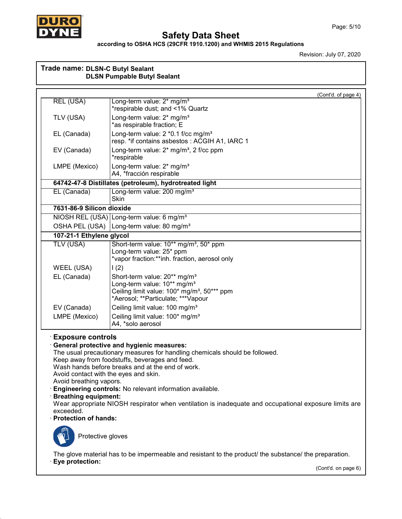

#### according to OSHA HCS (29CFR 1910.1200) and WHMIS 2015 Regulations

| Trade name: DLSN-C Butyl Sealant                                                                                                                                                        | <b>DLSN Pumpable Butyl Sealant</b>                                                                                                                                                                                                                                                                                                                                                                         |
|-----------------------------------------------------------------------------------------------------------------------------------------------------------------------------------------|------------------------------------------------------------------------------------------------------------------------------------------------------------------------------------------------------------------------------------------------------------------------------------------------------------------------------------------------------------------------------------------------------------|
|                                                                                                                                                                                         | (Cont'd. of page 4)                                                                                                                                                                                                                                                                                                                                                                                        |
| <b>REL (USA)</b>                                                                                                                                                                        | Long-term value: 2* mg/m <sup>3</sup><br>*respirable dust; and <1% Quartz                                                                                                                                                                                                                                                                                                                                  |
| TLV (USA)                                                                                                                                                                               | Long-term value: 2* mg/m <sup>3</sup><br>*as respirable fraction; E                                                                                                                                                                                                                                                                                                                                        |
| EL (Canada)                                                                                                                                                                             | Long-term value: 2 *0.1 f/cc mg/m <sup>3</sup><br>resp. *if contains asbestos: ACGIH A1, IARC 1                                                                                                                                                                                                                                                                                                            |
| EV (Canada)                                                                                                                                                                             | Long-term value: 2* mg/m <sup>3</sup> , 2 f/cc ppm<br>*respirable                                                                                                                                                                                                                                                                                                                                          |
| LMPE (Mexico)                                                                                                                                                                           | Long-term value: 2* mg/m <sup>3</sup><br>A4, *fracción respirable                                                                                                                                                                                                                                                                                                                                          |
|                                                                                                                                                                                         | 64742-47-8 Distillates (petroleum), hydrotreated light                                                                                                                                                                                                                                                                                                                                                     |
| EL (Canada)                                                                                                                                                                             | Long-term value: 200 mg/m <sup>3</sup><br><b>Skin</b>                                                                                                                                                                                                                                                                                                                                                      |
| 7631-86-9 Silicon dioxide                                                                                                                                                               |                                                                                                                                                                                                                                                                                                                                                                                                            |
|                                                                                                                                                                                         | NIOSH REL (USA) Long-term value: 6 mg/m <sup>3</sup>                                                                                                                                                                                                                                                                                                                                                       |
| OSHA PEL (USA)                                                                                                                                                                          | Long-term value: 80 mg/m <sup>3</sup>                                                                                                                                                                                                                                                                                                                                                                      |
| 107-21-1 Ethylene glycol                                                                                                                                                                |                                                                                                                                                                                                                                                                                                                                                                                                            |
| TLV (USA)                                                                                                                                                                               | Short-term value: 10 <sup>**</sup> mg/m <sup>3</sup> , 50 <sup>*</sup> ppm<br>Long-term value: 25* ppm<br>*vapor fraction:**inh. fraction, aerosol only                                                                                                                                                                                                                                                    |
| WEEL (USA)                                                                                                                                                                              | 1(2)                                                                                                                                                                                                                                                                                                                                                                                                       |
| EL (Canada)                                                                                                                                                                             | Short-term value: 20** mg/m <sup>3</sup><br>Long-term value: 10** mg/m <sup>3</sup><br>Ceiling limit value: 100* mg/m <sup>3</sup> , 50*** ppm<br>*Aerosol; **Particulate; ***Vapour                                                                                                                                                                                                                       |
| EV (Canada)                                                                                                                                                                             | Ceiling limit value: 100 mg/m <sup>3</sup>                                                                                                                                                                                                                                                                                                                                                                 |
| LMPE (Mexico)                                                                                                                                                                           | Ceiling limit value: 100* mg/m <sup>3</sup><br>A4, *solo aerosol                                                                                                                                                                                                                                                                                                                                           |
| <b>Exposure controls</b><br>Avoid contact with the eyes and skin.<br>Avoid breathing vapors.<br><b>Breathing equipment:</b><br>exceeded.<br>· Protection of hands:<br>Protective gloves | <b>General protective and hygienic measures:</b><br>The usual precautionary measures for handling chemicals should be followed.<br>Keep away from foodstuffs, beverages and feed.<br>Wash hands before breaks and at the end of work.<br>Engineering controls: No relevant information available.<br>Wear appropriate NIOSH respirator when ventilation is inadequate and occupational exposure limits are |
| Eye protection:                                                                                                                                                                         | The glove material has to be impermeable and resistant to the product/ the substance/ the preparation.<br>(Cont'd. on page 6)                                                                                                                                                                                                                                                                              |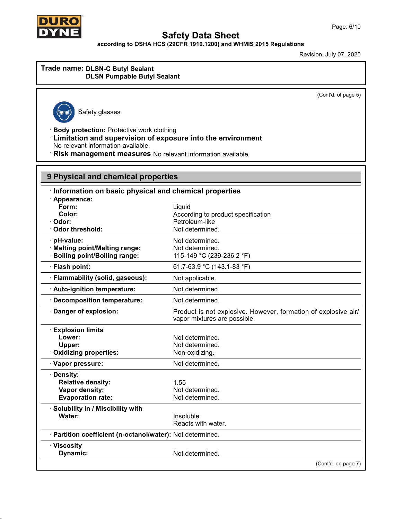

according to OSHA HCS (29CFR 1910.1200) and WHMIS 2015 Regulations

Revision: July 07, 2020

### Trade name: DLSN-C Butyl Sealant DLSN Pumpable Butyl Sealant

(Cont'd. of page 5)



Safety glasses

· Body protection: Protective work clothing

- · Limitation and supervision of exposure into the environment No relevant information available.
- · Risk management measures No relevant information available.

| 9 Physical and chemical properties                                                 |                                                                                                |  |
|------------------------------------------------------------------------------------|------------------------------------------------------------------------------------------------|--|
| Information on basic physical and chemical properties                              |                                                                                                |  |
| · Appearance:<br>Form:<br>Color:<br>Odor:<br><b>Odor threshold:</b>                | Liquid<br>According to product specification<br>Petroleum-like<br>Not determined.              |  |
| pH-value:<br>· Melting point/Melting range:<br><b>Boiling point/Boiling range:</b> | Not determined.<br>Not determined.<br>115-149 °C (239-236.2 °F)                                |  |
| · Flash point:                                                                     | 61.7-63.9 °C (143.1-83 °F)                                                                     |  |
| · Flammability (solid, gaseous):                                                   | Not applicable.                                                                                |  |
| · Auto-ignition temperature:                                                       | Not determined.                                                                                |  |
| Decomposition temperature:                                                         | Not determined.                                                                                |  |
| Danger of explosion:                                                               | Product is not explosive. However, formation of explosive air/<br>vapor mixtures are possible. |  |
| <b>Explosion limits</b><br>Lower:<br>Upper:<br><b>Oxidizing properties:</b>        | Not determined.<br>Not determined.<br>Non-oxidizing.                                           |  |
| Vapor pressure:                                                                    | Not determined.                                                                                |  |
| Density:<br><b>Relative density:</b><br>Vapor density:<br><b>Evaporation rate:</b> | 1.55<br>Not determined.<br>Not determined.                                                     |  |
| · Solubility in / Miscibility with<br>Water:                                       | Insoluble.<br>Reacts with water.                                                               |  |
| · Partition coefficient (n-octanol/water): Not determined.                         |                                                                                                |  |
| · Viscosity<br>Dynamic:                                                            | Not determined.                                                                                |  |
|                                                                                    | (Cont'd. on page 7)                                                                            |  |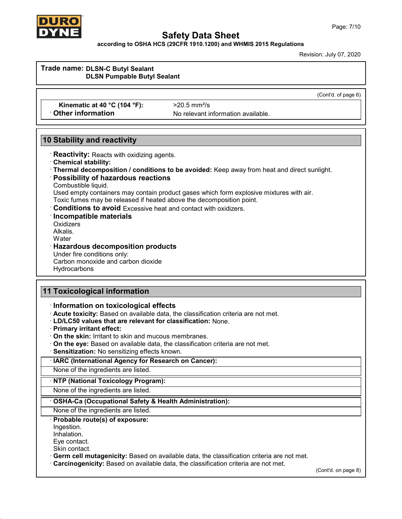

according to OSHA HCS (29CFR 1910.1200) and WHMIS 2015 Regulations

| Trade name: DLSN-C Butyl Sealant<br><b>DLSN Pumpable Butyl Sealant</b>                                                                                                                                                                                                                                                                                                                                                                                                       |                                                                                                                                                                                         |                     |
|------------------------------------------------------------------------------------------------------------------------------------------------------------------------------------------------------------------------------------------------------------------------------------------------------------------------------------------------------------------------------------------------------------------------------------------------------------------------------|-----------------------------------------------------------------------------------------------------------------------------------------------------------------------------------------|---------------------|
|                                                                                                                                                                                                                                                                                                                                                                                                                                                                              |                                                                                                                                                                                         |                     |
|                                                                                                                                                                                                                                                                                                                                                                                                                                                                              |                                                                                                                                                                                         | (Cont'd. of page 6) |
| Kinematic at 40 °C (104 °F):<br><b>Other information</b>                                                                                                                                                                                                                                                                                                                                                                                                                     | $>20.5$ mm <sup>2</sup> /s<br>No relevant information available.                                                                                                                        |                     |
| <b>10 Stability and reactivity</b>                                                                                                                                                                                                                                                                                                                                                                                                                                           |                                                                                                                                                                                         |                     |
| · Reactivity: Reacts with oxidizing agents.<br>Chemical stability:<br>Possibility of hazardous reactions<br>Combustible liquid.<br>Toxic fumes may be released if heated above the decomposition point.<br><b>Conditions to avoid Excessive heat and contact with oxidizers.</b><br>Incompatible materials<br>Oxidizers<br>Alkalis.<br>Water<br><b>Hazardous decomposition products</b><br>Under fire conditions only:<br>Carbon monoxide and carbon dioxide<br>Hydrocarbons | · Thermal decomposition / conditions to be avoided: Keep away from heat and direct sunlight.<br>Used empty containers may contain product gases which form explosive mixtures with air. |                     |
| <b>11 Toxicological information</b><br>Information on toxicological effects                                                                                                                                                                                                                                                                                                                                                                                                  | · Acute toxicity: Based on available data, the classification criteria are not met.                                                                                                     |                     |
|                                                                                                                                                                                                                                                                                                                                                                                                                                                                              |                                                                                                                                                                                         |                     |
| <b>LD/LC50 values that are relevant for classification: None.</b><br>· Primary irritant effect:<br>On the skin: Irritant to skin and mucous membranes.                                                                                                                                                                                                                                                                                                                       | On the eye: Based on available data, the classification criteria are not met.                                                                                                           |                     |
| Sensitization: No sensitizing effects known.                                                                                                                                                                                                                                                                                                                                                                                                                                 |                                                                                                                                                                                         |                     |
| · IARC (International Agency for Research on Cancer):                                                                                                                                                                                                                                                                                                                                                                                                                        |                                                                                                                                                                                         |                     |
| None of the ingredients are listed.                                                                                                                                                                                                                                                                                                                                                                                                                                          |                                                                                                                                                                                         |                     |
| · NTP (National Toxicology Program):                                                                                                                                                                                                                                                                                                                                                                                                                                         |                                                                                                                                                                                         |                     |
| None of the ingredients are listed.                                                                                                                                                                                                                                                                                                                                                                                                                                          |                                                                                                                                                                                         |                     |
| OSHA-Ca (Occupational Safety & Health Administration):<br>None of the ingredients are listed.                                                                                                                                                                                                                                                                                                                                                                                |                                                                                                                                                                                         |                     |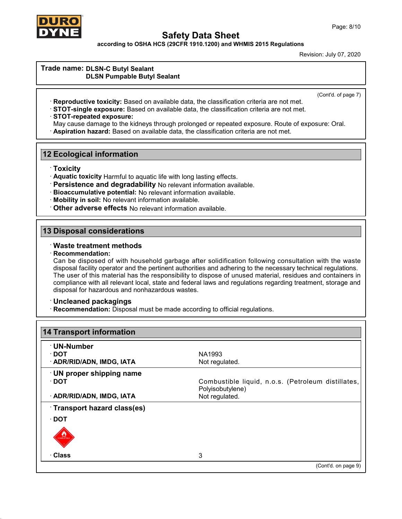

according to OSHA HCS (29CFR 1910.1200) and WHMIS 2015 Regulations

Revision: July 07, 2020

#### Trade name: DLSN-C Butyl Sealant DLSN Pumpable Butyl Sealant

(Cont'd. of page 7)

- · Reproductive toxicity: Based on available data, the classification criteria are not met.
- · STOT-single exposure: Based on available data, the classification criteria are not met.

#### · STOT-repeated exposure:

May cause damage to the kidneys through prolonged or repeated exposure. Route of exposure: Oral.

· Aspiration hazard: Based on available data, the classification criteria are not met.

### 12 Ecological information

· Toxicity

- · Aquatic toxicity Harmful to aquatic life with long lasting effects.
- · Persistence and degradability No relevant information available.
- · Bioaccumulative potential: No relevant information available.
- · Mobility in soil: No relevant information available.
- · Other adverse effects No relevant information available.

### 13 Disposal considerations

### · Waste treatment methods

· Recommendation:

Can be disposed of with household garbage after solidification following consultation with the waste disposal facility operator and the pertinent authorities and adhering to the necessary technical regulations. The user of this material has the responsibility to dispose of unused material, residues and containers in compliance with all relevant local, state and federal laws and regulations regarding treatment, storage and disposal for hazardous and nonhazardous wastes.

### · Uncleaned packagings

· Recommendation: Disposal must be made according to official regulations.

| ∙ UN-Number                |                                                                        |
|----------------------------|------------------------------------------------------------------------|
| ∙ DOT                      | NA1993                                                                 |
| · ADR/RID/ADN, IMDG, IATA  | Not regulated.                                                         |
| · UN proper shipping name  |                                                                        |
| ∙ DOT                      | Combustible liquid, n.o.s. (Petroleum distillates,<br>Polyisobutylene) |
| · ADR/RID/ADN, IMDG, IATA  | Not regulated.                                                         |
| Transport hazard class(es) |                                                                        |
| $\cdot$ DOT                |                                                                        |
| <b>COVIDERED</b>           |                                                                        |
| · Class                    | 3                                                                      |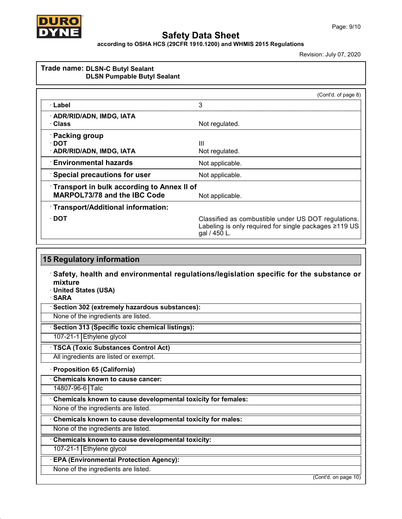

according to OSHA HCS (29CFR 1910.1200) and WHMIS 2015 Regulations

|                                            | (Cont'd. of page 8)                                                                                                          |
|--------------------------------------------|------------------------------------------------------------------------------------------------------------------------------|
| ∴Label                                     | 3                                                                                                                            |
| · ADR/RID/ADN, IMDG, IATA                  |                                                                                                                              |
| ∴Class                                     | Not regulated.                                                                                                               |
| · Packing group                            |                                                                                                                              |
| ∙ DOT                                      | Ш                                                                                                                            |
| · ADR/RID/ADN, IMDG, IATA                  | Not regulated.                                                                                                               |
| <b>∴Environmental hazards</b>              | Not applicable.                                                                                                              |
| <b>Special precautions for user</b>        | Not applicable.                                                                                                              |
| Transport in bulk according to Annex II of |                                                                                                                              |
| <b>MARPOL73/78 and the IBC Code</b>        | Not applicable.                                                                                                              |
| · Transport/Additional information:        |                                                                                                                              |
| $\cdot$ DOT                                | Classified as combustible under US DOT regulations.<br>Labeling is only required for single packages ≥119 US<br>gal / 450 L. |

| <b>15 Regulatory information</b>                                                                                                           |
|--------------------------------------------------------------------------------------------------------------------------------------------|
| Safety, health and environmental regulations/legislation specific for the substance or<br>mixture<br>· United States (USA)<br>$\cdot$ SARA |
| Section 302 (extremely hazardous substances):                                                                                              |
| None of the ingredients are listed.                                                                                                        |
| · Section 313 (Specific toxic chemical listings):                                                                                          |
| 107-21-1 Ethylene glycol                                                                                                                   |
| · TSCA (Toxic Substances Control Act)                                                                                                      |
| All ingredients are listed or exempt.                                                                                                      |
| · Proposition 65 (California)                                                                                                              |
| Chemicals known to cause cancer:                                                                                                           |
| 14807-96-6 Talc                                                                                                                            |
| Chemicals known to cause developmental toxicity for females:                                                                               |
| None of the ingredients are listed.                                                                                                        |
| Chemicals known to cause developmental toxicity for males:                                                                                 |
| None of the ingredients are listed.                                                                                                        |
| Chemicals known to cause developmental toxicity:                                                                                           |
| 107-21-1 Ethylene glycol                                                                                                                   |
| <b>EPA (Environmental Protection Agency):</b>                                                                                              |
| None of the ingredients are listed.                                                                                                        |
| (Cont'd. on page 10)                                                                                                                       |